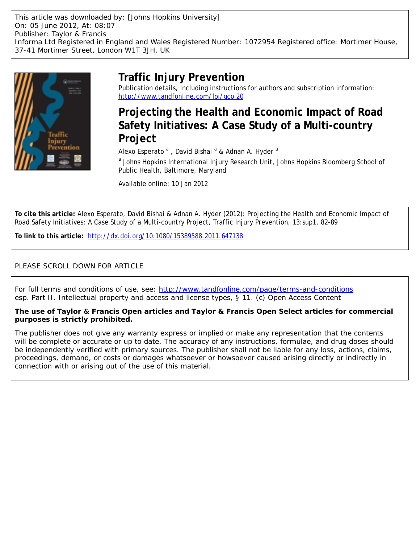This article was downloaded by: [Johns Hopkins University] On: 05 June 2012, At: 08:07 Publisher: Taylor & Francis Informa Ltd Registered in England and Wales Registered Number: 1072954 Registered office: Mortimer House, 37-41 Mortimer Street, London W1T 3JH, UK



# **Traffic Injury Prevention**

Publication details, including instructions for authors and subscription information: <http://www.tandfonline.com/loi/gcpi20>

**Projecting the Health and Economic Impact of Road Safety Initiatives: A Case Study of a Multi-country Project**

Alexo Esperato<sup>a</sup>, David Bishai<sup>a</sup> & Adnan A. Hyder<sup>a</sup>

<sup>a</sup> Johns Hopkins International Injury Research Unit, Johns Hopkins Bloomberg School of Public Health, Baltimore, Maryland

Available online: 10 Jan 2012

**To cite this article:** Alexo Esperato, David Bishai & Adnan A. Hyder (2012): Projecting the Health and Economic Impact of Road Safety Initiatives: A Case Study of a Multi-country Project, Traffic Injury Prevention, 13:sup1, 82-89

**To link to this article:** <http://dx.doi.org/10.1080/15389588.2011.647138>

## PLEASE SCROLL DOWN FOR ARTICLE

For full terms and conditions of use, see: <http://www.tandfonline.com/page/terms-and-conditions> *esp.* Part II. Intellectual property and access and license types, § 11. (c) Open Access Content

**The use of Taylor & Francis Open articles and Taylor & Francis Open Select articles for commercial purposes is strictly prohibited.**

The publisher does not give any warranty express or implied or make any representation that the contents will be complete or accurate or up to date. The accuracy of any instructions, formulae, and drug doses should be independently verified with primary sources. The publisher shall not be liable for any loss, actions, claims, proceedings, demand, or costs or damages whatsoever or howsoever caused arising directly or indirectly in connection with or arising out of the use of this material.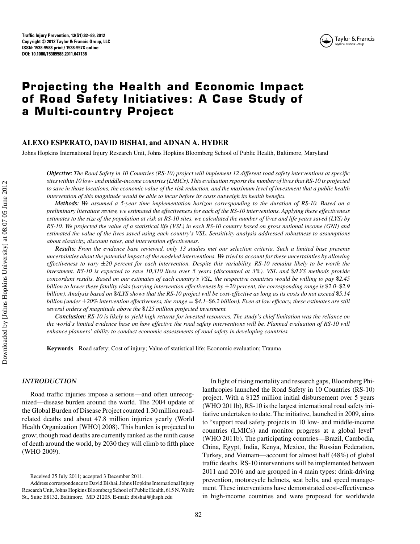

## **Projecting the Health and Economic Impact of Road Safety Initiatives: A Case Study of a Multi-country Project**

## **ALEXO ESPERATO, DAVID BISHAI, and ADNAN A. HYDER**

Johns Hopkins International Injury Research Unit, Johns Hopkins Bloomberg School of Public Health, Baltimore, Maryland

*Objective: The Road Safety in 10 Countries (RS-10) project will implement 12 different road safety interventions at specific sites within 10 low- and middle-income countries (LMICs). This evaluation reports the number of lives that RS-10 is projected to save in those locations, the economic value of the risk reduction, and the maximum level of investment that a public health intervention of this magnitude would be able to incur before its costs outweigh its health benefits.*

*Methods: We assumed a 5-year time implementation horizon corresponding to the duration of RS-10. Based on a preliminary literature review, we estimated the effectiveness for each of the RS-10 interventions. Applying these effectiveness estimates to the size of the population at risk at RS-10 sites, we calculated the number of lives and life years saved (LYS) by RS-10. We projected the value of a statistical life (VSL) in each RS-10 country based on gross national income (GNI) and estimated the value of the lives saved using each country's VSL. Sensitivity analysis addressed robustness to assumptions about elasticity, discount rates, and intervention effectiveness.*

*Results: From the evidence base reviewed, only 13 studies met our selection criteria. Such a limited base presents uncertainties about the potential impact of the modeled interventions. We tried to account for these uncertainties by allowing effectiveness to vary* ±*20 percent for each intervention. Despite this variability, RS-10 remains likely to be worth the investment. RS-10 is expected to save 10,310 lives over 5 years (discounted at 3%). VSL and* \$*/LYS methods provide concordant results. Based on our estimates of each country's VSL, the respective countries would be willing to pay* \$*2.45 billion to lower these fatality risks (varying intervention effectiveness by* ±*20 percent, the corresponding range is* \$*2.0–*\$*2.9 billion). Analysis based on* \$*/LYS shows that the RS-10 project will be cost-effective as long as its costs do not exceed* \$*5.14 billion (under* ±*20% intervention effectiveness, the range* = \$*4.1–*\$*6.2 billion). Even at low efficacy, these estimates are still several orders of magnitude above the* \$*125 million projected investment.*

*Conclusion: RS-10 is likely to yield high returns for invested resources. The study's chief limitation was the reliance on the world's limited evidence base on how effective the road safety interventions will be. Planned evaluation of RS-10 will enhance planners' ability to conduct economic assessments of road safety in developing countries.*

**Keywords** Road safety; Cost of injury; Value of statistical life; Economic evaluation; Trauma

## *INTRODUCTION*

Road traffic injuries impose a serious—and often unrecognized—disease burden around the world. The 2004 update of the Global Burden of Disease Project counted 1.30 million roadrelated deaths and about 47.8 million injuries yearly (World Health Organization [WHO] 2008). This burden is projected to grow; though road deaths are currently ranked as the ninth cause of death around the world, by 2030 they will climb to fifth place (WHO 2009).

Received 25 July 2011; accepted 3 December 2011.

In light of rising mortality and research gaps, Bloomberg Philanthropies launched the Road Safety in 10 Countries (RS-10) project. With a \$125 million initial disbursement over 5 years (WHO 2011b), RS-10 is the largest international road safety initiative undertaken to date. The initiative, launched in 2009, aims to "support road safety projects in 10 low- and middle-income countries (LMICs) and monitor progress at a global level" (WHO 2011b). The participating countries—Brazil, Cambodia, China, Egypt, India, Kenya, Mexico, the Russian Federation, Turkey, and Vietnam—account for almost half (48%) of global traffic deaths. RS-10 interventions will be implemented between 2011 and 2016 and are grouped in 4 main types: drink-driving prevention, motorcycle helmets, seat belts, and speed management. These interventions have demonstrated cost-effectiveness in high-income countries and were proposed for worldwide

Address correspondence to David Bishai, Johns Hopkins International Injury Research Unit, Johns Hopkins Bloomberg School of Public Health, 615 N. Wolfe St., Suite E8132, Baltimore, MD 21205. E-mail: dbishai@jhsph.edu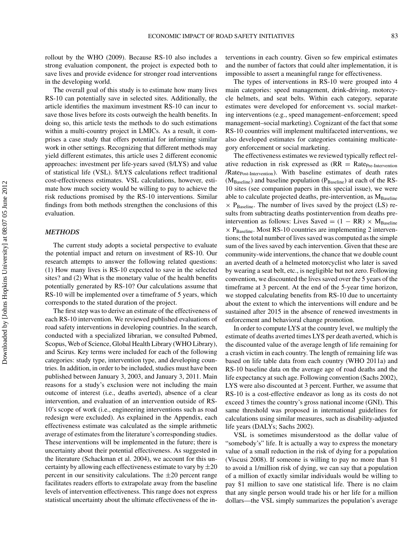rollout by the WHO (2009). Because RS-10 also includes a strong evaluation component, the project is expected both to save lives and provide evidence for stronger road interventions in the developing world.

The overall goal of this study is to estimate how many lives RS-10 can potentially save in selected sites. Additionally, the article identifies the maximum investment RS-10 can incur to save those lives before its costs outweigh the health benefits. In doing so, this article tests the methods to do such estimations within a multi-country project in LMICs. As a result, it comprises a case study that offers potential for informing similar work in other settings. Recognizing that different methods may yield different estimates, this article uses 2 different economic approaches: investment per life-years saved (\$/LYS) and value of statistical life (VSL). \$/LYS calculations reflect traditional cost-effectiveness estimates. VSL calculations, however, estimate how much society would be willing to pay to achieve the risk reductions promised by the RS-10 interventions. Similar findings from both methods strengthen the conclusions of this evaluation.

## *METHODS*

The current study adopts a societal perspective to evaluate the potential impact and return on investment of RS-10. Our research attempts to answer the following related questions: (1) How many lives is RS-10 expected to save in the selected sites? and (2) What is the monetary value of the health benefits potentially generated by RS-10? Our calculations assume that RS-10 will be implemented over a timeframe of 5 years, which corresponds to the stated duration of the project.

The first step was to derive an estimate of the effectiveness of each RS-10 intervention. We reviewed published evaluations of road safety interventions in developing countries. In the search, conducted with a specialized librarian, we consulted Pubmed, Scopus, Web of Science, Global Health Library (WHO Library), and Scirus. Key terms were included for each of the following categories: study type, intervention type, and developing countries. In addition, in order to be included, studies must have been published between January 3, 2003, and January 3, 2011. Main reasons for a study's exclusion were not including the main outcome of interest (i.e., deaths averted), absence of a clear intervention, and evaluation of an intervention outside of RS-10's scope of work (i.e., engineering interventions such as road redesign were excluded). As explained in the Appendix, each effectiveness estimate was calculated as the simple arithmetic average of estimates from the literature's corresponding studies. These interventions will be implemented in the future; there is uncertainty about their potential effectiveness. As suggested in the literature (Schackman et al. 2004), we account for this uncertainty by allowing each effectiveness estimate to vary by  $\pm 20$ percent in our sensitivity calculations. The  $\pm 20$  percent range facilitates readers efforts to extrapolate away from the baseline levels of intervention effectiveness. This range does not express statistical uncertainty about the ultimate effectiveness of the interventions in each country. Given so few empirical estimates and the number of factors that could alter implementation, it is impossible to assert a meaningful range for effectiveness.

The types of interventions in RS-10 were grouped into 4 main categories: speed management, drink-driving, motorcycle helmets, and seat belts. Within each category, separate estimates were developed for enforcement vs. social marketing interventions (e.g., speed management–enforcement; speed management–social marketing). Cognizant of the fact that some RS-10 countries will implement multifaceted interventions, we also developed estimates for categories containing multicategory enforcement or social marketing.

The effectiveness estimates we reviewed typically reflect relative reduction in risk expressed as  $(RR = Rate_{Pre-Intervention})$ /Rate<sub>Post-Intervention</sub>). With baseline estimates of death rates  $(M_{\text{Baseline}})$  and baseline population ( $P_{\text{Baseline}}$ ) at each of the RS-10 sites (see companion papers in this special issue), we were able to calculate projected deaths, pre-intervention, as  $M_{\text{Baseline}}$  $\times$  P<sub>Baseline</sub>. The number of lives saved by the project (LS) results from subtracting deaths postintervention from deaths preintervention as follows: Lives Saved =  $(1 - RR) \times M_{\text{Baseline}}$  $\times$  P<sub>Baseline</sub>. Most RS-10 countries are implementing 2 interventions; the total number of lives saved was computed as the simple sum of the lives saved by each intervention. Given that these are community-wide interventions, the chance that we double count an averted death of a helmeted motorcyclist who later is saved by wearing a seat belt, etc., is negligible but not zero. Following convention, we discounted the lives saved over the 5 years of the timeframe at 3 percent. At the end of the 5-year time horizon, we stopped calculating benefits from RS-10 due to uncertainty about the extent to which the interventions will endure and be sustained after 2015 in the absence of renewed investments in enforcement and behavioral change promotion.

In order to compute LYS at the country level, we multiply the estimate of deaths averted times LYS per death averted, which is the discounted value of the average length of life remaining for a crash victim in each country. The length of remaining life was based on life table data from each country (WHO 2011a) and RS-10 baseline data on the average age of road deaths and the life expectancy at such age. Following convention (Sachs 2002), LYS were also discounted at 3 percent. Further, we assume that RS-10 is a cost-effective endeavor as long as its costs do not exceed 3 times the country's gross national income (GNI). This same threshold was proposed in international guidelines for calculations using similar measures, such as disability-adjusted life years (DALYs; Sachs 2002).

VSL is sometimes misunderstood as the dollar value of "somebody's" life. It is actually a way to express the monetary value of a small reduction in the risk of dying for a population (Viscusi 2008). If someone is willing to pay no more than \$1 to avoid a 1/million risk of dying, we can say that a population of a million of exactly similar individuals would be willing to pay \$1 million to save one statistical life. There is no claim that any single person would trade his or her life for a million dollars—the VSL simply summarizes the population's average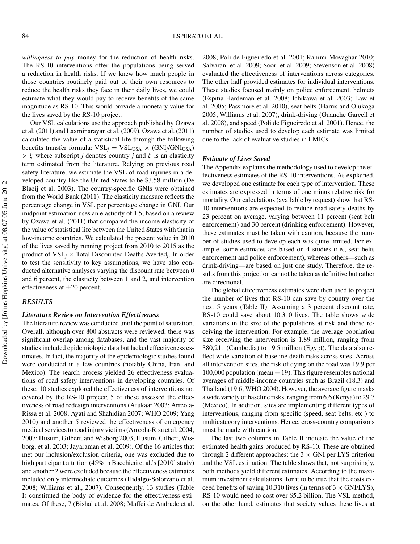*willingness to pay* money for the reduction of health risks. The RS-10 interventions offer the populations being served a reduction in health risks. If we knew how much people in those countries routinely paid out of their own resources to reduce the health risks they face in their daily lives, we could estimate what they would pay to receive benefits of the same magnitude as RS-10. This would provide a monetary value for the lives saved by the RS-10 project.

Our VSL calculations use the approach published by Ozawa et al. (2011) and Laxminarayan et al. (2009), Ozawa et al. (2011) calculated the value of a statistical life through the following benefits transfer formula:  $VSL<sub>i</sub> = VSL<sub>USA</sub> \times (GNI<sub>i</sub>/GNI<sub>USA</sub>)$  $\times \xi$  where subscript *j* denotes country *j* and  $\xi$  is an elasticity term estimated from the literature. Relying on previous road safety literature, we estimate the VSL of road injuries in a developed country like the United States to be \$3.58 million (De Blaeij et al. 2003). The country-specific GNIs were obtained from the World Bank (2011). The elasticity measure reflects the percentage change in VSL per percentage change in GNI. Our midpoint estimation uses an elasticity of 1.5, based on a review by Ozawa et al. (2011) that compared the income elasticity of the value of statistical life between the United States with that in low-income countries. We calculated the present value in 2010 of the lives saved by running project from 2010 to 2015 as the product of  $VSL<sub>i</sub> \times Total Discounted Deaths Averted<sub>i</sub>. In order$ to test the sensitivity to key assumptions, we have also conducted alternative analyses varying the discount rate between 0 and 6 percent, the elasticity between 1 and 2, and intervention effectiveness at  $\pm 20$  percent.

## *RESULTS*

#### *Literature Review on Intervention Effectiveness*

The literature review was conducted until the point of saturation. Overall, although over 800 abstracts were reviewed, there was significant overlap among databases, and the vast majority of studies included epidemiologic data but lacked effectiveness estimates. In fact, the majority of the epidemiologic studies found were conducted in a few countries (notably China, Iran, and Mexico). The search process yielded 26 effectiveness evaluations of road safety interventions in developing countries. Of these, 10 studies explored the effectiveness of interventions not covered by the RS-10 project; 5 of these assessed the effectiveness of road redesign interventions (Afukaar 2003; Arreola-Rissa et al. 2008; Ayati and Shahidian 2007; WHO 2009; Yang 2010) and another 5 reviewed the effectiveness of emergency medical services to road injury victims (Arreola-Risa et al. 2004, 2007; Husum, Gilbert, and Wisborg 2003; Husum, Gilbert, Wisborg, et al. 2003; Jayaraman et al. 2009). Of the 16 articles that met our inclusion/exclusion criteria, one was excluded due to high participant attrition (45% in Bacchieri et al.'s [2010] study) and another 2 were excluded because the effectiveness estimates included only intermediate outcomes (Hidalgo-Solorzano et al. 2008; Williams et al., 2007). Consequently, 13 studies (Table I) constituted the body of evidence for the effectiveness estimates. Of these, 7 (Bishai et al. 2008; Maffei de Andrade et al. 2008; Poli de Figueiredo et al. 2001; Rahimi-Movaghar 2010; Salvarani et al. 2009; Soori et al. 2009; Stevenson et al. 2008) evaluated the effectiveness of interventions across categories. The other half provided estimates for individual interventions. These studies focused mainly on police enforcement, helmets (Espitia-Hardeman et al. 2008; Ichikawa et al. 2003; Law et al. 2005; Passmore et al. 2010), seat belts (Harris and Olukoga 2005; Williams et al. 2007), drink-driving (Guanche Garcell et al. 2008), and speed (Poli de Figueiredo et al. 2001). Hence, the number of studies used to develop each estimate was limited due to the lack of evaluative studies in LMICs.

#### *Estimate of Lives Saved*

The Appendix explains the methodology used to develop the effectiveness estimates of the RS-10 interventions. As explained, we developed one estimate for each type of intervention. These estimates are expressed in terms of one minus relative risk for mortality. Our calculations (available by request) show that RS-10 interventions are expected to reduce road safety deaths by 23 percent on average, varying between 11 percent (seat belt enforcement) and 30 percent (drinking enforcement). However, these estimates must be taken with caution, because the number of studies used to develop each was quite limited. For example, some estimates are based on 4 studies (i.e., seat belts enforcement and police enforcement), whereas others—such as drink-driving—are based on just one study. Therefore, the results from this projection cannot be taken as definitive but rather are directional.

The global effectiveness estimates were then used to project the number of lives that RS-10 can save by country over the next 5 years (Table II). Assuming a 3 percent discount rate, RS-10 could save about 10,310 lives. The table shows wide variations in the size of the populations at risk and those receiving the intervention. For example, the average population size receiving the intervention is 1.89 million, ranging from 380,211 (Cambodia) to 19.5 million (Egypt). The data also reflect wide variation of baseline death risks across sites. Across all intervention sites, the risk of dying on the road was 19.9 per 100,000 population (mean  $= 19$ ). This figure resembles national averages of middle-income countries such as Brazil (18.3) and Thailand (19.6; WHO 2004). However, the average figure masks a wide variety of baseline risks, ranging from 6.6 (Kenya) to 29.7 (Mexico). In addition, sites are implementing different types of interventions, ranging from specific (speed, seat belts, etc.) to multicategory interventions. Hence, cross-country comparisons must be made with caution.

The last two columns in Table II indicate the value of the estimated health gains produced by RS-10. These are obtained through 2 different approaches: the  $3 \times$  GNI per LYS criterion and the VSL estimation. The table shows that, not surprisingly, both methods yield different estimates. According to the maximum investment calculations, for it to be true that the costs exceed benefits of saving 10,310 lives (in terms of  $3 \times$  GNI/LYS), RS-10 would need to cost over \$5.2 billion. The VSL method, on the other hand, estimates that society values these lives at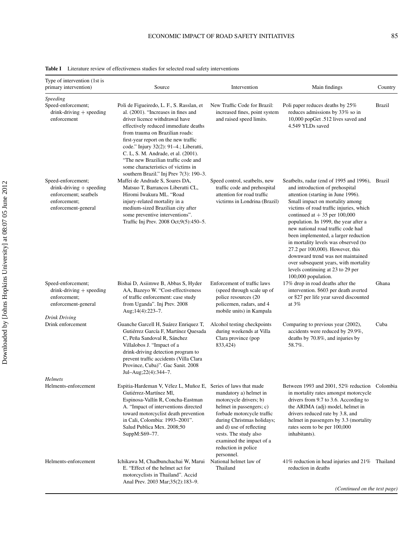| Type of intervention (1st is<br>primary intervention)                                                            | Source                                                                                                                                                                                                                                                                                                                                                                                                                                         | Intervention                                                                                                                                                                                                                                                   | Main findings                                                                                                                                                                                                                                                                                                                                                                                                                                                                                                                                                  | Country |
|------------------------------------------------------------------------------------------------------------------|------------------------------------------------------------------------------------------------------------------------------------------------------------------------------------------------------------------------------------------------------------------------------------------------------------------------------------------------------------------------------------------------------------------------------------------------|----------------------------------------------------------------------------------------------------------------------------------------------------------------------------------------------------------------------------------------------------------------|----------------------------------------------------------------------------------------------------------------------------------------------------------------------------------------------------------------------------------------------------------------------------------------------------------------------------------------------------------------------------------------------------------------------------------------------------------------------------------------------------------------------------------------------------------------|---------|
| <b>Speeding</b><br>Speed-enforcement;<br>$drink-driving + speeding$<br>enforcement                               | Poli de Figueiredo, L. F., S. Rasslan, et<br>al. (2001). "Increases in fines and<br>driver licence withdrawal have<br>effectively reduced immediate deaths<br>from trauma on Brazilian roads:<br>first-year report on the new traffic<br>code." Injury 32(2): 91-4.; Liberatti,<br>C. L, S. M. Andrade, et al. (2001).<br>"The new Brazilian traffic code and<br>some characteristics of victims in<br>southern Brazil." Inj Prev 7(3): 190-3. | New Traffic Code for Brazil:<br>increased fines, point system<br>and raised speed limits.                                                                                                                                                                      | Poli paper reduces deaths by 25%<br>reduces admissions by 33% so in<br>10,000 popGet .512 lives saved and<br>4.549 YLDs saved                                                                                                                                                                                                                                                                                                                                                                                                                                  | Brazil  |
| Speed-enforcement;<br>$drink-driving + speeding$<br>enforcement; seatbels<br>enforcement;<br>enforcement-general | Maffei de Andrade S, Soares DA,<br>Matsuo T, Barrancos Liberatti CL,<br>Hiromi Iwakura ML. "Road<br>injury-related mortality in a<br>medium-sized Brazilian city after<br>some preventive interventions".<br>Traffic Inj Prev. 2008 Oct;9(5):450-5.                                                                                                                                                                                            | Speed control, seatbelts, new<br>traffic code and prehospital<br>attention for road traffic<br>victirms in Londrina (Brazil)                                                                                                                                   | Seatbelts, radar (end of 1995 and 1996), Brazil<br>and introduction of prehospital<br>attention (starting in June 1996).<br>Small impact on mortality among<br>victims of road traffic injuries, which<br>continued at $+35$ per 100,000<br>population. In 1999, the year after a<br>new national road traffic code had<br>been implemented, a larger reduction<br>in mortality levels was observed (to<br>27.2 per 100,000). However, this<br>downward trend was not maintained<br>over subsequent years, with mortality<br>levels continuing at 23 to 29 per |         |
| Speed-enforcement;<br>$drink-driving + speeding$<br>enforcement;<br>enforcement-general                          | Bishai D, Asiimwe B, Abbas S, Hyder<br>AA, Bazeyo W. "Cost-effectiveness<br>of traffic enforcement: case study<br>from Uganda". Inj Prev. 2008<br>Aug; $14(4)$ : $223-7$ .                                                                                                                                                                                                                                                                     | Enforcement of traffic laws<br>(speed through scale up of<br>police resources (20<br>policemen, radars, and 4<br>mobile units) in Kampala                                                                                                                      | 100,000 population.<br>17% drop in road deaths after the<br>intervention. \$603 per death averted<br>or \$27 per life year saved discounted<br>at $3\%$                                                                                                                                                                                                                                                                                                                                                                                                        | Ghana   |
| Drink Driving<br>Drink enforcement                                                                               | Guanche Garcell H, Suárez Enriquez T,<br>Gutiérrez García F, Martínez Quesada<br>C, Peña Sandoval R, Sánchez<br>Villalobos J. "Impact of a<br>drink-driving detection program to<br>prevent traffic accidents (Villa Clara<br>Province, Cuba)". Gac Sanit. 2008<br>Jul-Aug;22(4):344-7.                                                                                                                                                        | Alcohol testing checkpoints<br>during weekends at Villa<br>Clara province (pop<br>833,424)                                                                                                                                                                     | Comparing to previous year (2002),<br>accidents were reduced by 29.9%,<br>deaths by 70.8%, and injuries by<br>58.7%.                                                                                                                                                                                                                                                                                                                                                                                                                                           | Cuba    |
| <b>Helmets</b><br>Helments-enforcement                                                                           | Espitia-Hardeman V, Vélez L, Muñoz E, Series of laws that made<br>Gutiérrez-Martínez Ml,<br>Espinosa-Vallín R, Concha-Eastman<br>A. "Impact of interventions directed<br>toward motorcyclist death prevention<br>in Cali, Colombia: 1993-2001".<br>Salud Publica Mex. 2008;50<br>SuppM:S69-77.                                                                                                                                                 | mandatory a) helmet in<br>motorcycle drivers; b)<br>helmet in passengers; c)<br>forbade motorcycle traffic<br>during Christmas holidays;<br>and d) use of reflecting<br>vests. The study also<br>examined the impact of a<br>reduction in police<br>personnel. | Between 1993 and 2001, 52% reduction Colombia<br>in mortality rates amongst motorcycle<br>drivers from 9.7 to 3.6. According to<br>the ARIMA (adj) model, helmet in<br>drivers reduced rate by 3.8, and<br>helmet in passengers by 3.3 (mortality<br>rates seem to be per 100,000<br>inhabitants).                                                                                                                                                                                                                                                             |         |
| Helments-enforcement                                                                                             | Ichikawa M, Chadbunchachai W, Marui<br>E. "Effect of the helmet act for<br>motorcyclists in Thailand". Accid<br>Anal Prev. 2003 Mar; 35(2): 183–9.                                                                                                                                                                                                                                                                                             | National helmet law of<br>Thailand                                                                                                                                                                                                                             | 41% reduction in head injuries and $21\%$ Thailand<br>reduction in deaths                                                                                                                                                                                                                                                                                                                                                                                                                                                                                      |         |
|                                                                                                                  |                                                                                                                                                                                                                                                                                                                                                                                                                                                |                                                                                                                                                                                                                                                                | (Continued on the text page)                                                                                                                                                                                                                                                                                                                                                                                                                                                                                                                                   |         |

**Table I** Literature review of effectiveness studies for selected road safety interventions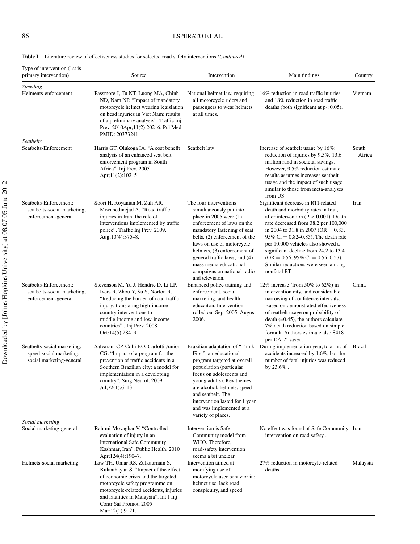## 86 ESPERATO ET AL.

| Passmore J, Tu NT, Luong MA, Chinh<br>National helmet law, requiring<br>16% reduction in road traffic injuries<br>ND, Nam NP. "Impact of mandatory<br>all motorcycle riders and<br>and 18% reduction in road traffic<br>motorcycle helmet wearing legislation<br>passengers to wear helmets<br>deaths (both significant at $p < 0.05$ ).<br>on head injuries in Viet Nam: results<br>at all times.<br>of a preliminary analysis". Traffic Inj<br>Prev. 2010Apr;11(2):202-6. PubMed<br>PMID: 20373241<br>Seatbelt law<br>South<br>Harris GT, Olukoga IA. "A cost benefit<br>Increase of seatbelt usage by 16%;<br>analysis of an enhanced seat belt<br>reduction of injuries by 9.5%. 13.6<br>enforcement program in South<br>million rand in societal savings.<br>Africa". Inj Prev. 2005<br>However, 9.5% reduction estimate<br>results assumes increases seatbelt<br>Apr;11(2):102–5<br>usage and the impact of such usage<br>similar to those from meta-analyses<br>from US.<br>The four interventions<br>Significant decrease in RTI-related<br>Soori H, Royanian M, Zali AR,<br>Iran<br>seatbelts-social marketing;<br>Movahedinejad A. "Road traffic<br>simultaneously put into<br>death and morbidity rates in Iran,<br>enforcement-general<br>injuries in Iran: the role of<br>place in 2005 were $(1)$<br>after intervention ( $P < 0.001$ ). Death<br>enforcement of laws on the<br>interventions implemented by traffic<br>rate decreased from 38.2 per 100,000<br>police". Traffic Inj Prev. 2009.<br>mandatory fastening of seat<br>in 2004 to 31.8 in 2007 (OR = $0.83$ ,<br>Aug;10(4):375-8.<br>belts, (2) enforcement of the<br>95% Cl = $0.82 - 0.85$ ). The death rate<br>laws on use of motorcycle<br>per 10,000 vehicles also showed a<br>helmets, (3) enforcement of<br>significant decline from 24.2 to 13.4<br>general traffic laws, and (4)<br>$(OR = 0.56, 95\% \text{ Cl} = 0.55-0.57).$<br>mass media educational<br>Similar reductions were seen among<br>nonfatal RT<br>campaigns on national radio<br>and television.<br>12% increase (from 50% to 62%) in<br>China<br>Stevenson M, Yu J, Hendrie D, Li LP,<br>Enhanced police training and<br>seatbelts-social marketing;<br>Ivers R, Zhou Y, Su S, Norton R.<br>enforcement, social<br>intervention city, and considerable<br>marketing, and health<br>narrowing of confidence intervals.<br>enforcement-general<br>"Reducing the burden of road traffic<br>educaiton. Intervention<br>Based on demonstrated effectiveness<br>injury: translating high-income<br>country interventions to<br>rolled out Sept 2005-August<br>of seatbelt usage on probability of<br>middle-income and low-income<br>2006.<br>$death (=0.45)$ , the authors calculate<br>countries". Inj Prev. 2008<br>7% death reduction based on simple<br>formula. Authors estimate also \$418<br>$Oct; 14(5): 284-9.$<br>per DALY saved.<br>Salvarani CP, Colli BO, Carlotti Junior<br>Brazilian adaptation of "Think During implementation year, total nr. of Brazil<br>speed-social marketing;<br>First", an educational<br>accidents increased by 1.6%, but the<br>CG. "Impact of a program for the<br>prevention of traffic accidents in a<br>social marketing-general<br>number of fatal injuries was reduced<br>program targeted at overall<br>Southern Brazilian city: a model for<br>popuolation (particular<br>by $23.6\%$ .<br>implementation in a developing<br>focus on adolescents and<br>country". Surg Neurol. 2009<br>young adults). Key themes<br>Jul;72(1):6–13<br>are alcohol, helmets, speed<br>and seatbelt. The<br>intervention lasted for 1 year<br>and was implemented at a<br>variety of places. | Type of intervention (1st is<br>primary intervention) | Source                         | Intervention         | Main findings                              | Country |
|-----------------------------------------------------------------------------------------------------------------------------------------------------------------------------------------------------------------------------------------------------------------------------------------------------------------------------------------------------------------------------------------------------------------------------------------------------------------------------------------------------------------------------------------------------------------------------------------------------------------------------------------------------------------------------------------------------------------------------------------------------------------------------------------------------------------------------------------------------------------------------------------------------------------------------------------------------------------------------------------------------------------------------------------------------------------------------------------------------------------------------------------------------------------------------------------------------------------------------------------------------------------------------------------------------------------------------------------------------------------------------------------------------------------------------------------------------------------------------------------------------------------------------------------------------------------------------------------------------------------------------------------------------------------------------------------------------------------------------------------------------------------------------------------------------------------------------------------------------------------------------------------------------------------------------------------------------------------------------------------------------------------------------------------------------------------------------------------------------------------------------------------------------------------------------------------------------------------------------------------------------------------------------------------------------------------------------------------------------------------------------------------------------------------------------------------------------------------------------------------------------------------------------------------------------------------------------------------------------------------------------------------------------------------------------------------------------------------------------------------------------------------------------------------------------------------------------------------------------------------------------------------------------------------------------------------------------------------------------------------------------------------------------------------------------------------------------------------------------------------------------------------------------------------------------------------------------------------------------------------------------------------------------------------------------------------------------------------------------------------------------------------------------------------------------------------------------------------------------------------------------------------------------------------------------------------------------------------------------------------------------------------------------------------------------|-------------------------------------------------------|--------------------------------|----------------------|--------------------------------------------|---------|
|                                                                                                                                                                                                                                                                                                                                                                                                                                                                                                                                                                                                                                                                                                                                                                                                                                                                                                                                                                                                                                                                                                                                                                                                                                                                                                                                                                                                                                                                                                                                                                                                                                                                                                                                                                                                                                                                                                                                                                                                                                                                                                                                                                                                                                                                                                                                                                                                                                                                                                                                                                                                                                                                                                                                                                                                                                                                                                                                                                                                                                                                                                                                                                                                                                                                                                                                                                                                                                                                                                                                                                                                                                                                             | Speeding<br>Helments-enforcement                      |                                |                      |                                            | Vietnam |
|                                                                                                                                                                                                                                                                                                                                                                                                                                                                                                                                                                                                                                                                                                                                                                                                                                                                                                                                                                                                                                                                                                                                                                                                                                                                                                                                                                                                                                                                                                                                                                                                                                                                                                                                                                                                                                                                                                                                                                                                                                                                                                                                                                                                                                                                                                                                                                                                                                                                                                                                                                                                                                                                                                                                                                                                                                                                                                                                                                                                                                                                                                                                                                                                                                                                                                                                                                                                                                                                                                                                                                                                                                                                             | <b>Seatbelts</b>                                      |                                |                      |                                            |         |
|                                                                                                                                                                                                                                                                                                                                                                                                                                                                                                                                                                                                                                                                                                                                                                                                                                                                                                                                                                                                                                                                                                                                                                                                                                                                                                                                                                                                                                                                                                                                                                                                                                                                                                                                                                                                                                                                                                                                                                                                                                                                                                                                                                                                                                                                                                                                                                                                                                                                                                                                                                                                                                                                                                                                                                                                                                                                                                                                                                                                                                                                                                                                                                                                                                                                                                                                                                                                                                                                                                                                                                                                                                                                             | Seatbelts-Enforcement                                 |                                |                      |                                            | Africa  |
|                                                                                                                                                                                                                                                                                                                                                                                                                                                                                                                                                                                                                                                                                                                                                                                                                                                                                                                                                                                                                                                                                                                                                                                                                                                                                                                                                                                                                                                                                                                                                                                                                                                                                                                                                                                                                                                                                                                                                                                                                                                                                                                                                                                                                                                                                                                                                                                                                                                                                                                                                                                                                                                                                                                                                                                                                                                                                                                                                                                                                                                                                                                                                                                                                                                                                                                                                                                                                                                                                                                                                                                                                                                                             | Seatbelts-Enforcement:                                |                                |                      |                                            |         |
|                                                                                                                                                                                                                                                                                                                                                                                                                                                                                                                                                                                                                                                                                                                                                                                                                                                                                                                                                                                                                                                                                                                                                                                                                                                                                                                                                                                                                                                                                                                                                                                                                                                                                                                                                                                                                                                                                                                                                                                                                                                                                                                                                                                                                                                                                                                                                                                                                                                                                                                                                                                                                                                                                                                                                                                                                                                                                                                                                                                                                                                                                                                                                                                                                                                                                                                                                                                                                                                                                                                                                                                                                                                                             | Seatbelts-Enforcement:                                |                                |                      |                                            |         |
|                                                                                                                                                                                                                                                                                                                                                                                                                                                                                                                                                                                                                                                                                                                                                                                                                                                                                                                                                                                                                                                                                                                                                                                                                                                                                                                                                                                                                                                                                                                                                                                                                                                                                                                                                                                                                                                                                                                                                                                                                                                                                                                                                                                                                                                                                                                                                                                                                                                                                                                                                                                                                                                                                                                                                                                                                                                                                                                                                                                                                                                                                                                                                                                                                                                                                                                                                                                                                                                                                                                                                                                                                                                                             | Seatbelts-social marketing;                           |                                |                      |                                            |         |
|                                                                                                                                                                                                                                                                                                                                                                                                                                                                                                                                                                                                                                                                                                                                                                                                                                                                                                                                                                                                                                                                                                                                                                                                                                                                                                                                                                                                                                                                                                                                                                                                                                                                                                                                                                                                                                                                                                                                                                                                                                                                                                                                                                                                                                                                                                                                                                                                                                                                                                                                                                                                                                                                                                                                                                                                                                                                                                                                                                                                                                                                                                                                                                                                                                                                                                                                                                                                                                                                                                                                                                                                                                                                             | Social marketing<br>Social marketing-general          | Rahimi-Movaghar V. "Controlled | Intervention is Safe | No effect was found of Safe Community Iran |         |

after intervention (P < 0.001). Death rate decreased from 38.2 per 100,000 in 2004 to 31.8 in 2007 (OR =  $0.83$ , 95% Cl =  $0.82 - 0.85$ ). The death rate significant decline from 24.2 to 13.4 Similar reductions were seen among Iran Based on demonstrated effectiveness 7% death reduction based on simple formula.Authors estimate also \$418 China During implementation year, total nr. of accidents increased by 1.6%, but the number of fatal injuries was reduced Brazil Social marketing-general Rahimi-Movaghar V. "Controlled evaluation of injury in an international Safe Community: Kashmar, Iran". Public Health. 2010 Apr;124(4):190–7. Intervention is Safe Community model from WHO. Therefore, road-safety intervention seems a bit unclear. No effect was found of Safe Community intervention on road safety . nity Iran Helmets-social marketing Law TH, Umar RS, Zulkaurnain S, Kulanthayan S. "Impact of the effect of economic crisis and the targeted motorcycle safety programme on motorcycle-related accidents, injuries and fatalities in Malaysia". Int J Inj Contr Saf Promot. 2005 Mar;12(1):9–21. Intervention aimed at modifying use of motorcycle user behavior in: helmet use, lack road conspicuity, and speed 27% reduction in motorcyle-related deaths Malaysia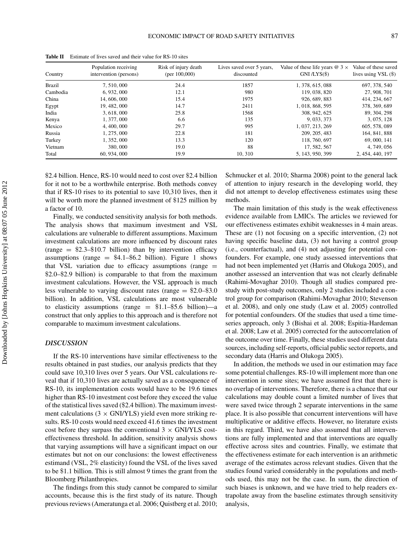| Country  | Population receiving<br>intervention (persons) | Risk of injury death<br>(per $100,000$ ) | Lives saved over 5 years,<br>discounted | Value of these life years $@3 \times$<br>$GNI/LYS(\$)$ | Value of these saved<br>lives using $VSL(3)$ |
|----------|------------------------------------------------|------------------------------------------|-----------------------------------------|--------------------------------------------------------|----------------------------------------------|
| Brazil   | 7.510.000                                      | 24.4                                     | 1857                                    | 1, 378, 615, 088                                       | 697, 378, 540                                |
| Cambodia | 6, 932, 000                                    | 12.1                                     | 980                                     | 119, 038, 820                                          | 27, 908, 701                                 |
| China    | 14, 606, 000                                   | 15.4                                     | 1975                                    | 926, 689, 883                                          | 414, 234, 667                                |
| Egypt    | 19, 482, 000                                   | 14.7                                     | 2411                                    | 1, 018, 868, 595                                       | 378, 369, 689                                |
| India    | 3.618.000                                      | 25.8                                     | 1568                                    | 308, 942, 625                                          | 89, 304, 298                                 |
| Kenya    | 1, 377, 000                                    | 6.6                                      | 135                                     | 9.033.373                                              | 3, 075, 128                                  |
| Mexico   | 4, 400, 000                                    | 29.7                                     | 995                                     | 1, 037, 213, 269                                       | 605, 578, 089                                |
| Russia   | 1, 275, 000                                    | 22.8                                     | 181                                     | 209, 205, 483                                          | 164, 841, 888                                |
| Turkey   | 1, 352, 000                                    | 13.3                                     | 120                                     | 118, 760, 697                                          | 69, 000, 141                                 |
| Vietnam  | 380,000                                        | 19.0                                     | 88                                      | 17, 582, 567                                           | 4.749.056                                    |
| Total    | 60, 934, 000                                   | 19.9                                     | 10, 310                                 | 5, 143, 950, 399                                       | 2, 454, 440, 197                             |

**Table II** Estimate of lives saved and their value for RS-10 sites

\$2.4 billion. Hence, RS-10 would need to cost over \$2.4 billion for it not to be a worthwhile enterprise. Both methods convey that if RS-10 rises to its potential to save 10,310 lives, then it will be worth more the planned investment of \$125 million by a factor of 10.

Finally, we conducted sensitivity analysis for both methods. The analysis shows that maximum investment and VSL calculations are vulnerable to different assumptions. Maximum investment calculations are more influenced by discount rates  $(\text{range} = \$2.3 - \$10.7)$  billion) than by intervention efficacy assumptions (range  $= $4.1-\$6.2$  billion). Figure 1 shows that VSL variation due to efficacy assumptions (range  $=$ \$2.0–\$2.9 billion) is comparable to that from the maximum investment calculations. However, the VSL approach is much less vulnerable to varying discount rates (range = \$2.0–\$3.0 billion). In addition, VSL calculations are most vulnerable to elasticity assumptions (range  $= $1.1-\$5.6$  billion)—a construct that only applies to this approach and is therefore not comparable to maximum investment calculations.

#### *DISCUSSION*

If the RS-10 interventions have similar effectiveness to the results obtained in past studies, our analysis predicts that they could save 10,310 lives over 5 years. Our VSL calculations reveal that if 10,310 lives are actually saved as a consequence of RS-10, its implementation costs would have to be 19.6 times higher than RS-10 investment cost before they exceed the value of the statistical lives saved (\$2.4 billion). The maximum investment calculations  $(3 \times GNI/YLS)$  yield even more striking results. RS-10 costs would need exceed 41.6 times the investment cost before they surpass the conventional  $3 \times$  GNI/YLS costeffectiveness threshold. In addition, sensitivity analysis shows that varying assumptions will have a significant impact on our estimates but not on our conclusions: the lowest effectiveness estimand (VSL, 2% elasticity) found the VSL of the lives saved to be \$1.1 billion. This is still almost 9 times the grant from the Bloomberg Philanthropies.

The findings from this study cannot be compared to similar accounts, because this is the first study of its nature. Though previous reviews (Ameratunga et al. 2006; Quistberg et al. 2010; Schmucker et al. 2010; Sharma 2008) point to the general lack of attention to injury research in the developing world, they did not attempt to develop effectiveness estimates using these methods.

The main limitation of this study is the weak effectiveness evidence available from LMICs. The articles we reviewed for our effectiveness estimates exhibit weaknesses in 4 main areas. These are (1) not focusing on a specific intervention, (2) not having specific baseline data, (3) not having a control group (i.e., counterfactual), and (4) not adjusting for potential confounders. For example, one study assessed interventions that had not been implemented yet (Harris and Olukoga 2005), and another assessed an intervention that was not clearly definable (Rahimi-Movaghar 2010). Though all studies compared prestudy with post-study outcomes, only 2 studies included a control group for comparison (Rahimi-Movaghar 2010; Stevenson et al. 2008), and only one study (Law et al. 2005) controlled for potential confounders. Of the studies that used a time timeseries approach, only 3 (Bishai et al. 2008; Espitia-Hardeman et al. 2008; Law et al. 2005) corrected for the autocorrelation of the outcome over time. Finally, these studies used different data sources, including self-reports, official public sector reports, and secondary data (Harris and Olukoga 2005).

In addition, the methods we used in our estimation may face some potential challenges. RS-10 will implement more than one intervention in some sites; we have assumed first that there is no overlap of interventions. Therefore, there is a chance that our calculations may double count a limited number of lives that were saved twice through 2 separate interventions in the same place. It is also possible that concurrent interventions will have multiplicative or additive effects. However, no literature exists in this regard. Third, we have also assumed that all interventions are fully implemented and that interventions are equally effective across sites and countries. Finally, we estimate that the effectiveness estimate for each intervention is an arithmetic average of the estimates across relevant studies. Given that the studies found varied considerably in the populations and methods used, this may not be the case. In sum, the direction of such biases is unknown, and we have tried to help readers extrapolate away from the baseline estimates through sensitivity analysis,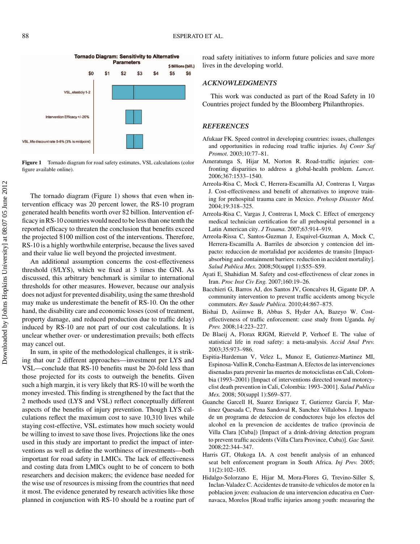**Tornado Diagram: Sensitivity to Alternative Parameters** \$Billions (bill.) \$0  $$1$  $$2$ \$3 \$5 \$6 \$4 VSL, elasticiy 1-2 Intervention Efficacy +/-20% VSL, life discount rate 0-6% (3% is midpoint)

**Figure 1** Tornado diagram for road safety estimates, VSL calculations (color figure available online).

The tornado diagram (Figure 1) shows that even when intervention efficacy was 20 percent lower, the RS-10 program generated health benefits worth over \$2 billion. Intervention efficacy in RS-10 countries would need to be less than one tenth the reported efficacy to threaten the conclusion that benefits exceed the projected \$100 million cost of the interventions. Therefore, RS-10 is a highly worthwhile enterprise, because the lives saved and their value lie well beyond the projected investment.

An additional assumption concerns the cost-effectiveness threshold (\$/LYS), which we fixed at 3 times the GNI. As discussed, this arbitrary benchmark is similar to international thresholds for other measures. However, because our analysis does not adjust for prevented disability, using the same threshold may make us underestimate the benefit of RS-10. On the other hand, the disability care and economic losses (cost of treatment, property damage, and reduced production due to traffic delay) induced by RS-10 are not part of our cost calculations. It is unclear whether over- or underestimation prevails; both effects may cancel out.

In sum, in spite of the methodological challenges, it is striking that our 2 different approaches—investment per LYS and VSL—conclude that RS-10 benefits must be 20-fold less than those projected for its costs to outweigh the benefits. Given such a high margin, it is very likely that RS-10 will be worth the money invested. This finding is strengthened by the fact that the 2 methods used (LYS and VSL) reflect conceptually different aspects of the benefits of injury prevention. Though LYS calculations reflect the maximum cost to save 10,310 lives while staying cost-effective, VSL estimates how much society would be willing to invest to save those lives. Projections like the ones used in this study are important to predict the impact of interventions as well as define the worthiness of investments—both important for road safety in LMICs. The lack of effectiveness and costing data from LMICs ought to be of concern to both researchers and decision makers; the evidence base needed for the wise use of resources is missing from the countries that need it most. The evidence generated by research activities like those planned in conjunction with RS-10 should be a routine part of

road safety initiatives to inform future policies and save more lives in the developing world.

## *ACKNOWLEDGMENTS*

This work was conducted as part of the Road Safety in 10 Countries project funded by the Bloomberg Philanthropies.

### *REFERENCES*

- Afukaar FK. Speed control in developing countries: issues, challenges and opportunities in reducing road traffic injuries. *Inj Contr Saf Promot.* 2003;10:77–81.
- Ameratunga S, Hijar M, Norton R. Road-traffic injuries: confronting disparities to address a global-health problem. *Lancet.* 2006;367:1533–1540.
- Arreola-Risa C, Mock C, Herrera-Escamilla AJ, Contreras I, Vargas J. Cost-effectiveness and benefit of alternatives to improve training for prehospital trauma care in Mexico. *Prehosp Disaster Med.* 2004;19:318–325.
- Arreola-Risa C, Vargas J, Contreras I, Mock C. Effect of emergency medical technician certification for all prehospital personnel in a Latin American city. *J Trauma.* 2007;63:914–919.
- Arreola-Rissa C, Santos-Guzman J, Esquivel-Guzman A, Mock C, Herrera-Escamilla A. Barriles de absorcion y contencion del impacto: reduccion de mortalidad por accidentes de transito [Impactabsorbing and containment barriers: reduction in accident mortality]. *Salud Publica Mex.* 2008;50(suppl 1):S55–S59.
- Ayati E, Shahidian M. Safety and cost-effectiveness of clear zones in Iran. *Proc Inst Civ Eng.* 2007;160:19–26.
- Bacchieri G, Barros AJ, dos Santos JV, Goncalves H, Gigante DP. A community intervention to prevent traffic accidents among bicycle commuters. *Rev Saude Publica.* 2010;44:867–875.
- Bishai D, Asiimwe B, Abbas S, Hyder AA, Bazeyo W. Costeffectiveness of traffic enforcement: case study from Uganda. *Inj Prev.* 2008;14:223–227.
- De Blaeij A, Florax RJGM, Rietveld P, Verhoef E. The value of statistical life in road safety: a meta-analysis. *Accid Anal Prev.* 2003;35:973–986.
- Espitia-Hardeman V, Velez L, Munoz E, Gutierrez-Martinez MI, Espinosa-Vallin R, Concha-Eastman A. Efectos de las intervenciones disenadas para prevenir las muertes de motociclistas en Cali, Colombia (1993–2001) [Impact of interventions directed toward motorcyclist death prevention in Cali, Colombia: 1993–2001]. *Salud Publica Mex.* 2008; 50(suppl 1):S69–S77.
- Guanche Garcell H, Suarez Enriquez T, Gutierrez Garcia F, Martinez Quesada C, Pena Sandoval R, Sanchez Villalobos J. Impacto de un programa de deteccion de conductores bajo los efectos del alcohol en la prevencion de accidentes de trafico (provincia de Villa Clara [Cuba]) [Impact of a drink-driving detection program to prevent traffic accidents (Villa Clara Province, Cuba)]. *Gac Sanit.* 2008;22:344–347.
- Harris GT, Olukoga IA. A cost benefit analysis of an enhanced seat belt enforcement program in South Africa. *Inj Prev.* 2005; 11(2):102–105.
- Hidalgo-Solorzano E, Hijar M, Mora-Flores G, Trevino-Siller S, Inclan-Valadez C. Accidentes de transito de vehiculos de motor en la poblacion joven: evaluacion de una intervencion educativa en Cuernavaca, Morelos [Road traffic injuries among youth: measuring the